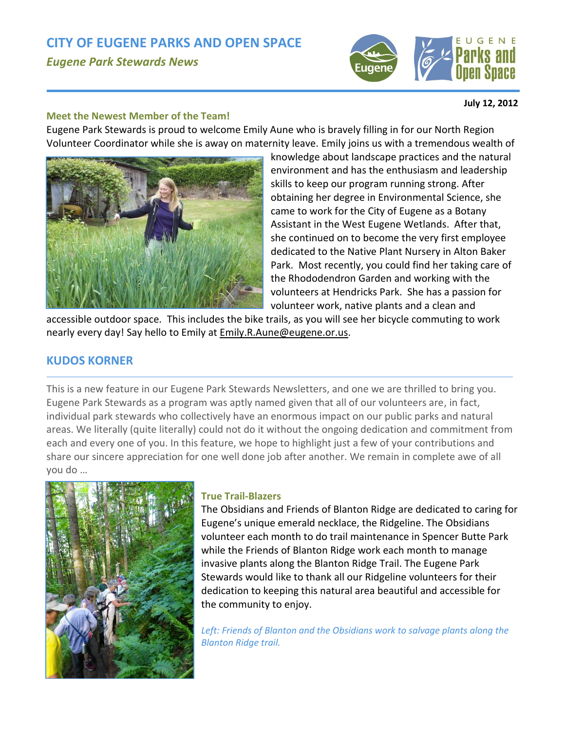*Eugene Park Stewards News*



#### **July 12, 2012**

### **Meet the Newest Member of the Team!**

Eugene Park Stewards is proud to welcome Emily Aune who is bravely filling in for our North Region Volunteer Coordinator while she is away on maternity leave. Emily joins us with a tremendous wealth of



knowledge about landscape practices and the natural environment and has the enthusiasm and leadership skills to keep our program running strong. After obtaining her degree in Environmental Science, she came to work for the City of Eugene as a Botany Assistant in the West Eugene Wetlands. After that, she continued on to become the very first employee dedicated to the Native Plant Nursery in Alton Baker Park. Most recently, you could find her taking care of the Rhododendron Garden and working with the volunteers at Hendricks Park. She has a passion for volunteer work, native plants and a clean and

accessible outdoor space. This includes the bike trails, as you will see her bicycle commuting to work nearly every day! Say hello to Emily at **Emily.R.Aune@eugene.or.us.** 

# **KUDOS KORNER**

This is a new feature in our Eugene Park Stewards Newsletters, and one we are thrilled to bring you. Eugene Park Stewards as a program was aptly named given that all of our volunteers are, in fact, individual park stewards who collectively have an enormous impact on our public parks and natural areas. We literally (quite literally) could not do it without the ongoing dedication and commitment from each and every one of you. In this feature, we hope to highlight just a few of your contributions and share our sincere appreciation for one well done job after another. We remain in complete awe of all you do …



## **True Trail-Blazers**

The Obsidians and Friends of Blanton Ridge are dedicated to caring for Eugene's unique emerald necklace, the Ridgeline. The Obsidians volunteer each month to do trail maintenance in Spencer Butte Park while the Friends of Blanton Ridge work each month to manage invasive plants along the Blanton Ridge Trail. The Eugene Park Stewards would like to thank all our Ridgeline volunteers for their dedication to keeping this natural area beautiful and accessible for the community to enjoy.

*Left: Friends of Blanton and the Obsidians work to salvage plants along the Blanton Ridge trail.*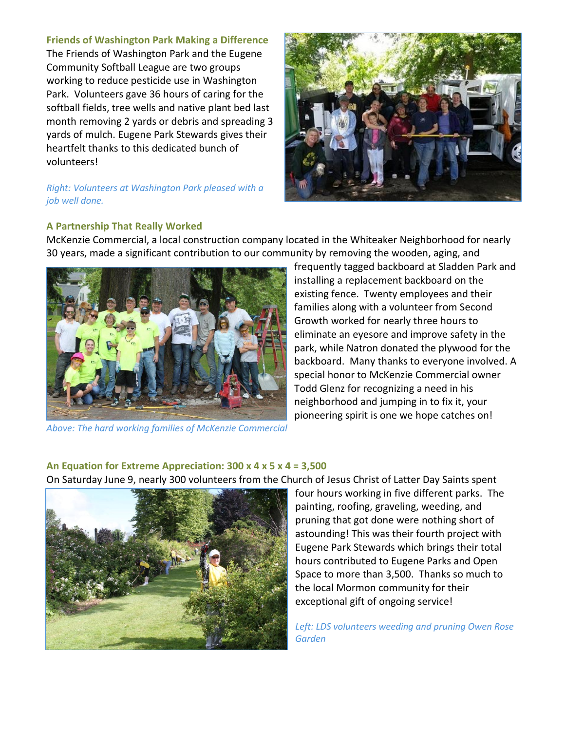## **Friends of Washington Park Making a Difference**

The Friends of Washington Park and the Eugene Community Softball League are two groups working to reduce pesticide use in Washington Park. Volunteers gave 36 hours of caring for the softball fields, tree wells and native plant bed last month removing 2 yards or debris and spreading 3 yards of mulch. Eugene Park Stewards gives their heartfelt thanks to this dedicated bunch of volunteers!

### *Right: Volunteers at Washington Park pleased with a job well done.*



## **A Partnership That Really Worked**

McKenzie Commercial, a local construction company located in the Whiteaker Neighborhood for nearly 30 years, made a significant contribution to our community by removing the wooden, aging, and



*Above: The hard working families of McKenzie Commercial*

frequently tagged backboard at Sladden Park and installing a replacement backboard on the existing fence. Twenty employees and their families along with a volunteer from Second Growth worked for nearly three hours to eliminate an eyesore and improve safety in the park, while Natron donated the plywood for the backboard. Many thanks to everyone involved. A special honor to McKenzie Commercial owner Todd Glenz for recognizing a need in his neighborhood and jumping in to fix it, your pioneering spirit is one we hope catches on!

### **An Equation for Extreme Appreciation: 300 x 4 x 5 x 4 = 3,500**



four hours working in five different parks. The painting, roofing, graveling, weeding, and pruning that got done were nothing short of astounding! This was their fourth project with Eugene Park Stewards which brings their total hours contributed to Eugene Parks and Open Space to more than 3,500. Thanks so much to the local Mormon community for their exceptional gift of ongoing service!

*Left: LDS volunteers weeding and pruning Owen Rose Garden*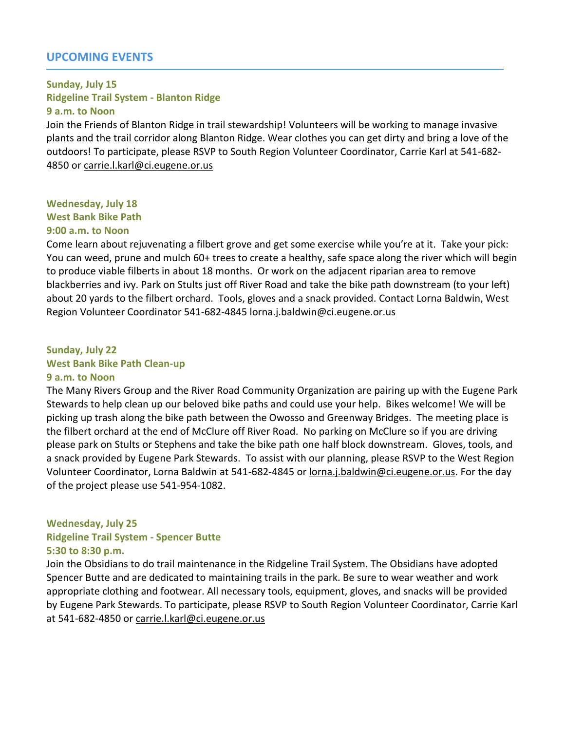# **UPCOMING EVENTS**

#### **Sunday, July 15 Ridgeline Trail System - Blanton Ridge**

**9 a.m. to Noon** 

Join the Friends of Blanton Ridge in trail stewardship! Volunteers will be working to manage invasive plants and the trail corridor along Blanton Ridge. Wear clothes you can get dirty and bring a love of the outdoors! To participate, please RSVP to South Region Volunteer Coordinator, Carrie Karl at 541-682- 4850 o[r carrie.l.karl@ci.eugene.or.us](mailto:carrie.l.karl@ci.eugene.or.us)

**Wednesday, July 18 West Bank Bike Path 9:00 a.m. to Noon**

Come learn about rejuvenating a filbert grove and get some exercise while you're at it. Take your pick: You can weed, prune and mulch 60+ trees to create a healthy, safe space along the river which will begin to produce viable filberts in about 18 months. Or work on the adjacent riparian area to remove blackberries and ivy. Park on Stults just off River Road and take the bike path downstream (to your left) about 20 yards to the filbert orchard. Tools, gloves and a snack provided. Contact Lorna Baldwin, West Region Volunteer Coordinator 541-682-4845 [lorna.j.baldwin@ci.eugene.or.us](mailto:lorna.j.baldwin@ci.eugene.or.us)

# **Sunday, July 22 West Bank Bike Path Clean-up**

### **9 a.m. to Noon**

The Many Rivers Group and the River Road Community Organization are pairing up with the Eugene Park Stewards to help clean up our beloved bike paths and could use your help. Bikes welcome! We will be picking up trash along the bike path between the Owosso and Greenway Bridges. The meeting place is the filbert orchard at the end of McClure off River Road. No parking on McClure so if you are driving please park on Stults or Stephens and take the bike path one half block downstream. Gloves, tools, and a snack provided by Eugene Park Stewards. To assist with our planning, please RSVP to the West Region Volunteer Coordinator, Lorna Baldwin at 541-682-4845 or [lorna.j.baldwin@ci.eugene.or.us.](mailto:lorna.j.baldwin@ci.eugene.or.us) For the day of the project please use 541-954-1082.

## **Wednesday, July 25 Ridgeline Trail System - Spencer Butte 5:30 to 8:30 p.m.**

Join the Obsidians to do trail maintenance in the Ridgeline Trail System. The Obsidians have adopted Spencer Butte and are dedicated to maintaining trails in the park. Be sure to wear weather and work appropriate clothing and footwear. All necessary tools, equipment, gloves, and snacks will be provided by Eugene Park Stewards. To participate, please RSVP to South Region Volunteer Coordinator, Carrie Karl at 541-682-4850 or [carrie.l.karl@ci.eugene.or.us](mailto:carrie.l.karl@ci.eugene.or.us)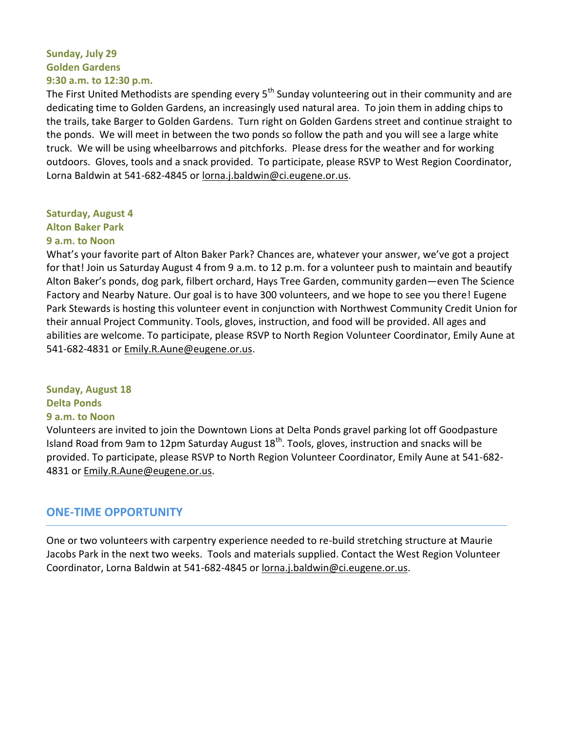# **Sunday, July 29 Golden Gardens**

### **9:30 a.m. to 12:30 p.m.**

The First United Methodists are spending every 5<sup>th</sup> Sunday volunteering out in their community and are dedicating time to Golden Gardens, an increasingly used natural area. To join them in adding chips to the trails, take Barger to Golden Gardens. Turn right on Golden Gardens street and continue straight to the ponds. We will meet in between the two ponds so follow the path and you will see a large white truck. We will be using wheelbarrows and pitchforks. Please dress for the weather and for working outdoors. Gloves, tools and a snack provided. To participate, please RSVP to West Region Coordinator, Lorna Baldwin at 541-682-4845 or <u>lorna.j.baldwin@ci.eugene.or.us</u>.

**Saturday, August 4 Alton Baker Park**

### **9 a.m. to Noon**

What's your favorite part of Alton Baker Park? Chances are, whatever your answer, we've got a project for that! Join us Saturday August 4 from 9 a.m. to 12 p.m. for a volunteer push to maintain and beautify Alton Baker's ponds, dog park, filbert orchard, Hays Tree Garden, community garden—even The Science Factory and Nearby Nature. Our goal is to have 300 volunteers, and we hope to see you there! Eugene Park Stewards is hosting this volunteer event in conjunction with Northwest Community Credit Union for their annual Project Community. Tools, gloves, instruction, and food will be provided. All ages and abilities are welcome. To participate, please RSVP to North Region Volunteer Coordinator, Emily Aune at 541-682-4831 or [Emily.R.Aune@eugene.or.us.](mailto:Emily.R.Aune@eugene.or.us)

**Sunday, August 18 Delta Ponds 9 a.m. to Noon**

Volunteers are invited to join the Downtown Lions at Delta Ponds gravel parking lot off Goodpasture Island Road from 9am to 12pm Saturday August  $18^{th}$ . Tools, gloves, instruction and snacks will be provided. To participate, please RSVP to North Region Volunteer Coordinator, Emily Aune at 541-682- 4831 o[r Emily.R.Aune@eugene.or.us.](mailto:Emily.R.Aune@eugene.or.us)

## **ONE-TIME OPPORTUNITY**

One or two volunteers with carpentry experience needed to re-build stretching structure at Maurie Jacobs Park in the next two weeks. Tools and materials supplied. Contact the West Region Volunteer Coordinator, Lorna Baldwin at 541-682-4845 o[r lorna.j.baldwin@ci.eugene.or.us.](mailto:mailtolorna.j.baldwin@ci.eugene.or.us)